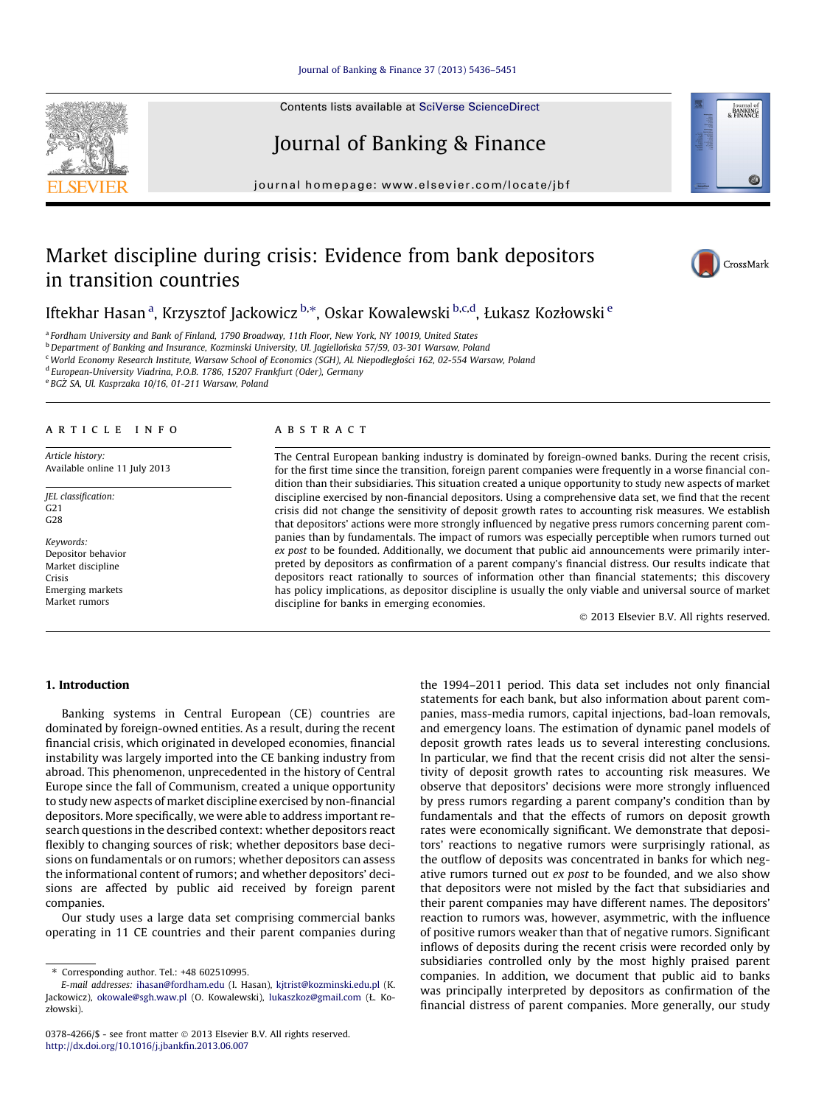Contents lists available at [SciVerse ScienceDirect](http://www.sciencedirect.com/science/journal/03784266)

## Journal of Banking & Finance

journal homepage: [www.elsevier.com/locate/jbf](http://www.elsevier.com/locate/jbf)



## Market discipline during crisis: Evidence from bank depositors in transition countries



Iftekhar Hasan $^{\rm a}$ , Krzysztof Jackowicz  $^{\rm b, *}$ , Oskar Kowalewski  $^{\rm b, c, d}$ , Łukasz Kozłowski  $^{\rm e}$ 

<sup>a</sup> Fordham University and Bank of Finland, 1790 Broadway, 11th Floor, New York, NY 10019, United States

<sup>b</sup> Department of Banking and Insurance, Kozminski University, Ul. Jagiellońska 57/59, 03-301 Warsaw, Poland

<sup>c</sup> World Economy Research Institute, Warsaw School of Economics (SGH), Al. Niepodległości 162, 02-554 Warsaw, Poland

<sup>d</sup> European-University Viadrina, P.O.B. 1786, 15207 Frankfurt (Oder), Germany

e BGŻ SA, Ul. Kasprzaka 10/16, 01-211 Warsaw, Poland

#### article info

Article history: Available online 11 July 2013

JEL classification:  $G<sub>21</sub>$ G28

Keywords: Depositor behavior Market discipline Crisis Emerging markets Market rumors

### ABSTRACT

The Central European banking industry is dominated by foreign-owned banks. During the recent crisis, for the first time since the transition, foreign parent companies were frequently in a worse financial condition than their subsidiaries. This situation created a unique opportunity to study new aspects of market discipline exercised by non-financial depositors. Using a comprehensive data set, we find that the recent crisis did not change the sensitivity of deposit growth rates to accounting risk measures. We establish that depositors' actions were more strongly influenced by negative press rumors concerning parent companies than by fundamentals. The impact of rumors was especially perceptible when rumors turned out ex post to be founded. Additionally, we document that public aid announcements were primarily interpreted by depositors as confirmation of a parent company's financial distress. Our results indicate that depositors react rationally to sources of information other than financial statements; this discovery has policy implications, as depositor discipline is usually the only viable and universal source of market discipline for banks in emerging economies.

- 2013 Elsevier B.V. All rights reserved.

### 1. Introduction

Banking systems in Central European (CE) countries are dominated by foreign-owned entities. As a result, during the recent financial crisis, which originated in developed economies, financial instability was largely imported into the CE banking industry from abroad. This phenomenon, unprecedented in the history of Central Europe since the fall of Communism, created a unique opportunity to study new aspects of market discipline exercised by non-financial depositors. More specifically, we were able to address important research questions in the described context: whether depositors react flexibly to changing sources of risk; whether depositors base decisions on fundamentals or on rumors; whether depositors can assess the informational content of rumors; and whether depositors' decisions are affected by public aid received by foreign parent companies.

Our study uses a large data set comprising commercial banks operating in 11 CE countries and their parent companies during the 1994–2011 period. This data set includes not only financial statements for each bank, but also information about parent companies, mass-media rumors, capital injections, bad-loan removals, and emergency loans. The estimation of dynamic panel models of deposit growth rates leads us to several interesting conclusions. In particular, we find that the recent crisis did not alter the sensitivity of deposit growth rates to accounting risk measures. We observe that depositors' decisions were more strongly influenced by press rumors regarding a parent company's condition than by fundamentals and that the effects of rumors on deposit growth rates were economically significant. We demonstrate that depositors' reactions to negative rumors were surprisingly rational, as the outflow of deposits was concentrated in banks for which negative rumors turned out ex post to be founded, and we also show that depositors were not misled by the fact that subsidiaries and their parent companies may have different names. The depositors' reaction to rumors was, however, asymmetric, with the influence of positive rumors weaker than that of negative rumors. Significant inflows of deposits during the recent crisis were recorded only by subsidiaries controlled only by the most highly praised parent companies. In addition, we document that public aid to banks was principally interpreted by depositors as confirmation of the financial distress of parent companies. More generally, our study

<sup>⇑</sup> Corresponding author. Tel.: +48 602510995.

E-mail addresses: [ihasan@fordham.edu](mailto:ihasan@fordham.edu) (I. Hasan), [kjtrist@kozminski.edu.pl](mailto:kjtrist@kozminski.edu.pl) (K. Jackowicz), [okowale@sgh.waw.pl](mailto:okowale@sgh.waw.pl) (O. Kowalewski), [lukaszkoz@gmail.com](mailto:lukaszkoz@gmail.com) (Ł. Kozłowski).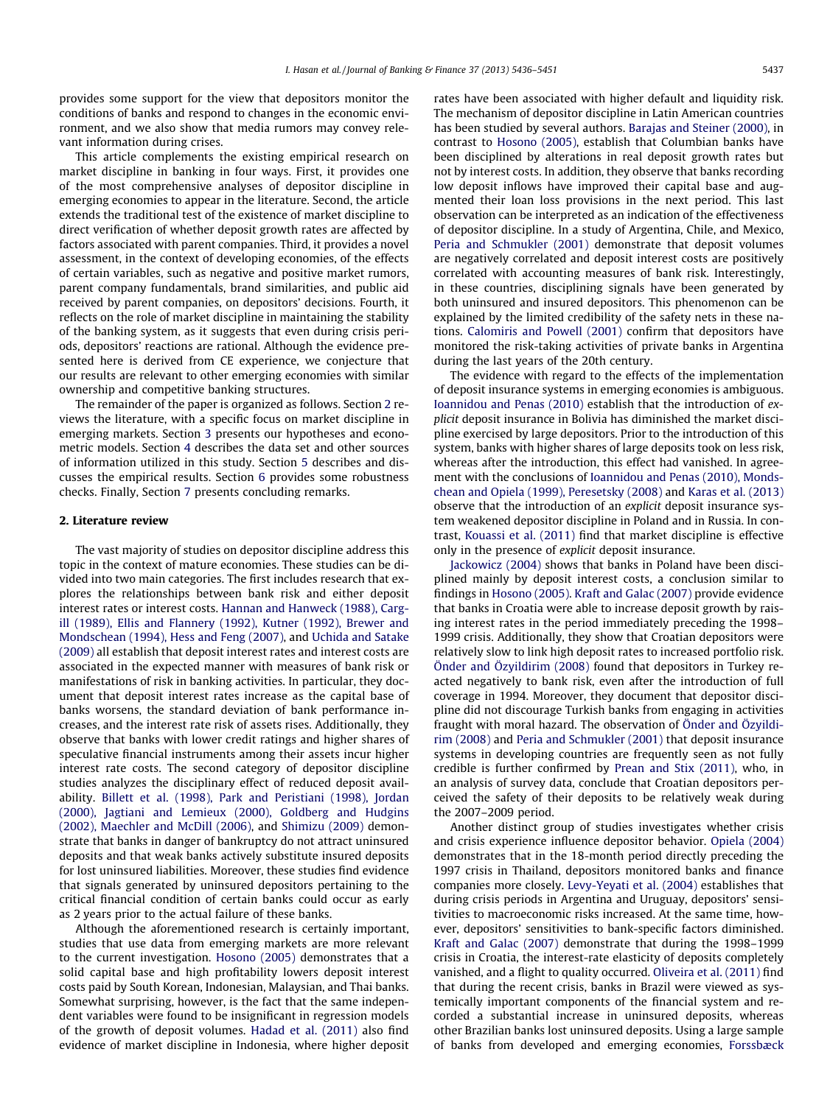provides some support for the view that depositors monitor the conditions of banks and respond to changes in the economic environment, and we also show that media rumors may convey relevant information during crises.

This article complements the existing empirical research on market discipline in banking in four ways. First, it provides one of the most comprehensive analyses of depositor discipline in emerging economies to appear in the literature. Second, the article extends the traditional test of the existence of market discipline to direct verification of whether deposit growth rates are affected by factors associated with parent companies. Third, it provides a novel assessment, in the context of developing economies, of the effects of certain variables, such as negative and positive market rumors, parent company fundamentals, brand similarities, and public aid received by parent companies, on depositors' decisions. Fourth, it reflects on the role of market discipline in maintaining the stability of the banking system, as it suggests that even during crisis periods, depositors' reactions are rational. Although the evidence presented here is derived from CE experience, we conjecture that our results are relevant to other emerging economies with similar ownership and competitive banking structures.

The remainder of the paper is organized as follows. Section 2 reviews the literature, with a specific focus on market discipline in emerging markets. Section [3](#page--1-0) presents our hypotheses and econometric models. Section [4](#page--1-0) describes the data set and other sources of information utilized in this study. Section [5](#page--1-0) describes and discusses the empirical results. Section [6](#page--1-0) provides some robustness checks. Finally, Section [7](#page--1-0) presents concluding remarks.

#### 2. Literature review

The vast majority of studies on depositor discipline address this topic in the context of mature economies. These studies can be divided into two main categories. The first includes research that explores the relationships between bank risk and either deposit interest rates or interest costs. [Hannan and Hanweck \(1988\), Carg](#page--1-0)[ill \(1989\), Ellis and Flannery \(1992\), Kutner \(1992\), Brewer and](#page--1-0) [Mondschean \(1994\), Hess and Feng \(2007\)](#page--1-0), and [Uchida and Satake](#page--1-0) [\(2009\)](#page--1-0) all establish that deposit interest rates and interest costs are associated in the expected manner with measures of bank risk or manifestations of risk in banking activities. In particular, they document that deposit interest rates increase as the capital base of banks worsens, the standard deviation of bank performance increases, and the interest rate risk of assets rises. Additionally, they observe that banks with lower credit ratings and higher shares of speculative financial instruments among their assets incur higher interest rate costs. The second category of depositor discipline studies analyzes the disciplinary effect of reduced deposit availability. [Billett et al. \(1998\), Park and Peristiani \(1998\), Jordan](#page--1-0) [\(2000\), Jagtiani and Lemieux \(2000\), Goldberg and Hudgins](#page--1-0) [\(2002\), Maechler and McDill \(2006\)](#page--1-0), and [Shimizu \(2009\)](#page--1-0) demonstrate that banks in danger of bankruptcy do not attract uninsured deposits and that weak banks actively substitute insured deposits for lost uninsured liabilities. Moreover, these studies find evidence that signals generated by uninsured depositors pertaining to the critical financial condition of certain banks could occur as early as 2 years prior to the actual failure of these banks.

Although the aforementioned research is certainly important, studies that use data from emerging markets are more relevant to the current investigation. [Hosono \(2005\)](#page--1-0) demonstrates that a solid capital base and high profitability lowers deposit interest costs paid by South Korean, Indonesian, Malaysian, and Thai banks. Somewhat surprising, however, is the fact that the same independent variables were found to be insignificant in regression models of the growth of deposit volumes. [Hadad et al. \(2011\)](#page--1-0) also find evidence of market discipline in Indonesia, where higher deposit rates have been associated with higher default and liquidity risk. The mechanism of depositor discipline in Latin American countries has been studied by several authors. [Barajas and Steiner \(2000\),](#page--1-0) in contrast to [Hosono \(2005\),](#page--1-0) establish that Columbian banks have been disciplined by alterations in real deposit growth rates but not by interest costs. In addition, they observe that banks recording low deposit inflows have improved their capital base and augmented their loan loss provisions in the next period. This last observation can be interpreted as an indication of the effectiveness of depositor discipline. In a study of Argentina, Chile, and Mexico, [Peria and Schmukler \(2001\)](#page--1-0) demonstrate that deposit volumes are negatively correlated and deposit interest costs are positively correlated with accounting measures of bank risk. Interestingly, in these countries, disciplining signals have been generated by both uninsured and insured depositors. This phenomenon can be explained by the limited credibility of the safety nets in these nations. [Calomiris and Powell \(2001\)](#page--1-0) confirm that depositors have monitored the risk-taking activities of private banks in Argentina during the last years of the 20th century.

The evidence with regard to the effects of the implementation of deposit insurance systems in emerging economies is ambiguous. [Ioannidou and Penas \(2010\)](#page--1-0) establish that the introduction of explicit deposit insurance in Bolivia has diminished the market discipline exercised by large depositors. Prior to the introduction of this system, banks with higher shares of large deposits took on less risk, whereas after the introduction, this effect had vanished. In agreement with the conclusions of [Ioannidou and Penas \(2010\), Monds](#page--1-0)[chean and Opiela \(1999\), Peresetsky \(2008\)](#page--1-0) and [Karas et al. \(2013\)](#page--1-0) observe that the introduction of an explicit deposit insurance system weakened depositor discipline in Poland and in Russia. In contrast, [Kouassi et al. \(2011\)](#page--1-0) find that market discipline is effective only in the presence of explicit deposit insurance.

[Jackowicz \(2004\)](#page--1-0) shows that banks in Poland have been disciplined mainly by deposit interest costs, a conclusion similar to findings in [Hosono \(2005\).](#page--1-0) [Kraft and Galac \(2007\)](#page--1-0) provide evidence that banks in Croatia were able to increase deposit growth by raising interest rates in the period immediately preceding the 1998– 1999 crisis. Additionally, they show that Croatian depositors were relatively slow to link high deposit rates to increased portfolio risk. [Önder and Özyildirim \(2008\)](#page--1-0) found that depositors in Turkey reacted negatively to bank risk, even after the introduction of full coverage in 1994. Moreover, they document that depositor discipline did not discourage Turkish banks from engaging in activities fraught with moral hazard. The observation of [Önder and Özyildi](#page--1-0)[rim \(2008\)](#page--1-0) and [Peria and Schmukler \(2001\)](#page--1-0) that deposit insurance systems in developing countries are frequently seen as not fully credible is further confirmed by [Prean and Stix \(2011\)](#page--1-0), who, in an analysis of survey data, conclude that Croatian depositors perceived the safety of their deposits to be relatively weak during the 2007–2009 period.

Another distinct group of studies investigates whether crisis and crisis experience influence depositor behavior. [Opiela \(2004\)](#page--1-0) demonstrates that in the 18-month period directly preceding the 1997 crisis in Thailand, depositors monitored banks and finance companies more closely. [Levy-Yeyati et al. \(2004\)](#page--1-0) establishes that during crisis periods in Argentina and Uruguay, depositors' sensitivities to macroeconomic risks increased. At the same time, however, depositors' sensitivities to bank-specific factors diminished. [Kraft and Galac \(2007\)](#page--1-0) demonstrate that during the 1998–1999 crisis in Croatia, the interest-rate elasticity of deposits completely vanished, and a flight to quality occurred. [Oliveira et al. \(2011\)](#page--1-0) find that during the recent crisis, banks in Brazil were viewed as systemically important components of the financial system and recorded a substantial increase in uninsured deposits, whereas other Brazilian banks lost uninsured deposits. Using a large sample of banks from developed and emerging economies, [Forssbæck](#page--1-0)